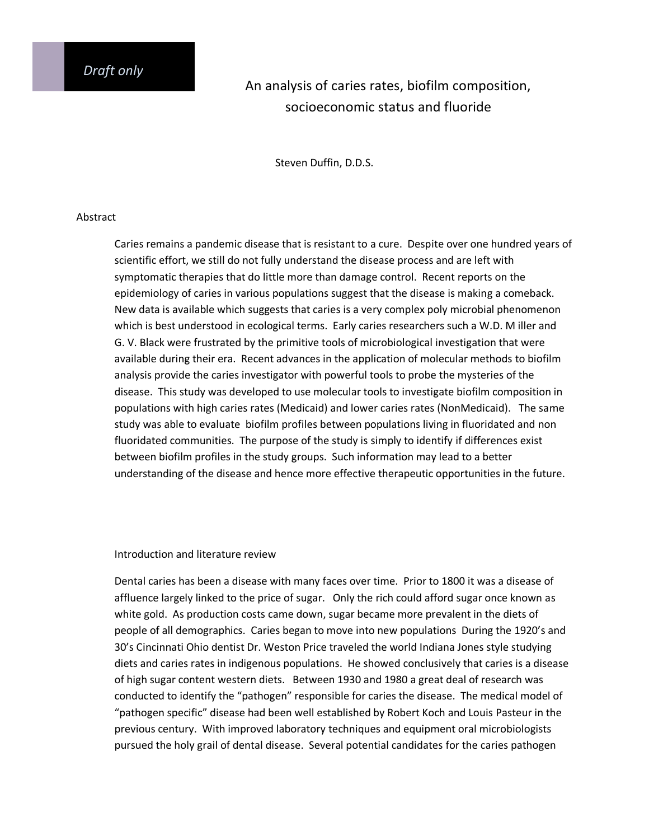# An analysis of caries rates, biofilm composition, socioeconomic status and fluoride

Steven Duffin, D.D.S.

#### Abstract

Caries remains a pandemic disease that is resistant to a cure. Despite over one hundred years of scientific effort, we still do not fully understand the disease process and are left with symptomatic therapies that do little more than damage control. Recent reports on the epidemiology of caries in various populations suggest that the disease is making a comeback. New data is available which suggests that caries is a very complex poly microbial phenomenon which is best understood in ecological terms. Early caries researchers such a W.D. M iller and G. V. Black were frustrated by the primitive tools of microbiological investigation that were available during their era. Recent advances in the application of molecular methods to biofilm analysis provide the caries investigator with powerful tools to probe the mysteries of the disease. This study was developed to use molecular tools to investigate biofilm composition in populations with high caries rates (Medicaid) and lower caries rates (NonMedicaid). The same study was able to evaluate biofilm profiles between populations living in fluoridated and non fluoridated communities. The purpose of the study is simply to identify if differences exist between biofilm profiles in the study groups. Such information may lead to a better understanding of the disease and hence more effective therapeutic opportunities in the future.

# Introduction and literature review

Dental caries has been a disease with many faces over time. Prior to 1800 it was a disease of affluence largely linked to the price of sugar. Only the rich could afford sugar once known as white gold. As production costs came down, sugar became more prevalent in the diets of people of all demographics. Caries began to move into new populations During the 1920's and 30's Cincinnati Ohio dentist Dr. Weston Price traveled the world Indiana Jones style studying diets and caries rates in indigenous populations. He showed conclusively that caries is a disease of high sugar content western diets. Between 1930 and 1980 a great deal of research was conducted to identify the "pathogen" responsible for caries the disease. The medical model of "pathogen specific" disease had been well established by Robert Koch and Louis Pasteur in the previous century. With improved laboratory techniques and equipment oral microbiologists pursued the holy grail of dental disease. Several potential candidates for the caries pathogen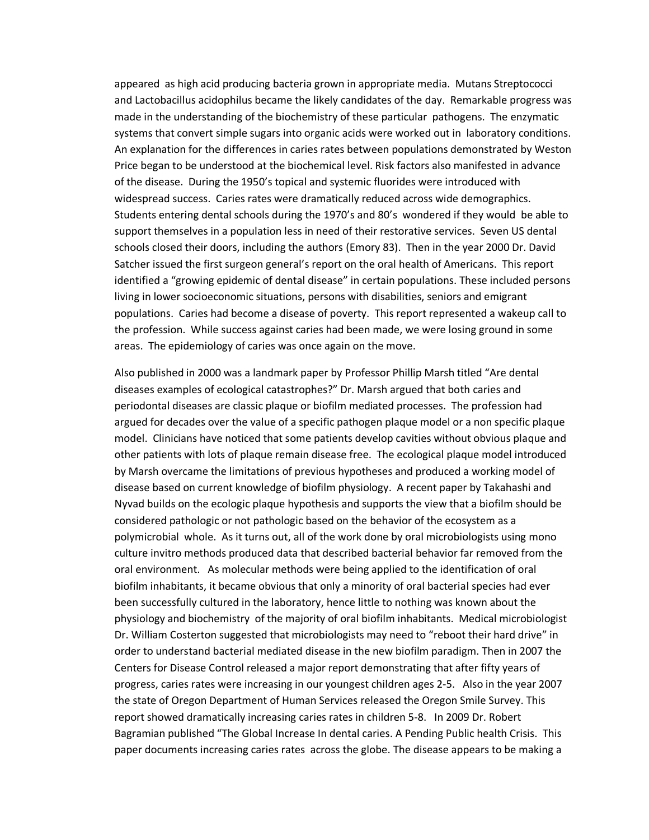appeared as high acid producing bacteria grown in appropriate media. Mutans Streptococci and Lactobacillus acidophilus became the likely candidates of the day. Remarkable progress was made in the understanding of the biochemistry of these particular pathogens. The enzymatic systems that convert simple sugars into organic acids were worked out in laboratory conditions. An explanation for the differences in caries rates between populations demonstrated by Weston Price began to be understood at the biochemical level. Risk factors also manifested in advance of the disease. During the 1950's topical and systemic fluorides were introduced with widespread success. Caries rates were dramatically reduced across wide demographics. Students entering dental schools during the 1970's and 80's wondered if they would be able to support themselves in a population less in need of their restorative services. Seven US dental schools closed their doors, including the authors (Emory 83). Then in the year 2000 Dr. David Satcher issued the first surgeon general's report on the oral health of Americans. This report identified a "growing epidemic of dental disease" in certain populations. These included persons living in lower socioeconomic situations, persons with disabilities, seniors and emigrant populations. Caries had become a disease of poverty. This report represented a wakeup call to the profession. While success against caries had been made, we were losing ground in some areas. The epidemiology of caries was once again on the move.

Also published in 2000 was a landmark paper by Professor Phillip Marsh titled "Are dental diseases examples of ecological catastrophes?" Dr. Marsh argued that both caries and periodontal diseases are classic plaque or biofilm mediated processes. The profession had argued for decades over the value of a specific pathogen plaque model or a non specific plaque model. Clinicians have noticed that some patients develop cavities without obvious plaque and other patients with lots of plaque remain disease free. The ecological plaque model introduced by Marsh overcame the limitations of previous hypotheses and produced a working model of disease based on current knowledge of biofilm physiology. A recent paper by Takahashi and Nyvad builds on the ecologic plaque hypothesis and supports the view that a biofilm should be considered pathologic or not pathologic based on the behavior of the ecosystem as a polymicrobial whole. As it turns out, all of the work done by oral microbiologists using mono culture invitro methods produced data that described bacterial behavior far removed from the oral environment. As molecular methods were being applied to the identification of oral biofilm inhabitants, it became obvious that only a minority of oral bacterial species had ever been successfully cultured in the laboratory, hence little to nothing was known about the physiology and biochemistry of the majority of oral biofilm inhabitants. Medical microbiologist Dr. William Costerton suggested that microbiologists may need to "reboot their hard drive" in order to understand bacterial mediated disease in the new biofilm paradigm. Then in 2007 the Centers for Disease Control released a major report demonstrating that after fifty years of progress, caries rates were increasing in our youngest children ages 2-5. Also in the year 2007 the state of Oregon Department of Human Services released the Oregon Smile Survey. This report showed dramatically increasing caries rates in children 5-8. In 2009 Dr. Robert Bagramian published "The Global Increase In dental caries. A Pending Public health Crisis. This paper documents increasing caries rates across the globe. The disease appears to be making a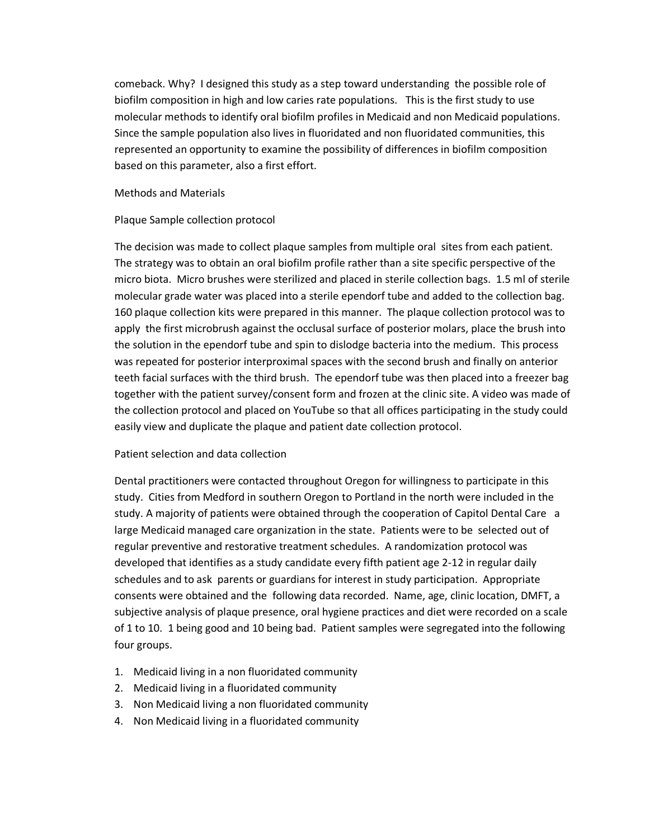comeback. Why? I designed this study as a step toward understanding the possible role of biofilm composition in high and low caries rate populations. This is the first study to use molecular methods to identify oral biofilm profiles in Medicaid and non Medicaid populations. Since the sample population also lives in fluoridated and non fluoridated communities, this represented an opportunity to examine the possibility of differences in biofilm composition based on this parameter, also a first effort.

#### Methods and Materials

## Plaque Sample collection protocol

The decision was made to collect plaque samples from multiple oral sites from each patient. The strategy was to obtain an oral biofilm profile rather than a site specific perspective of the micro biota. Micro brushes were sterilized and placed in sterile collection bags. 1.5 ml of sterile molecular grade water was placed into a sterile ependorf tube and added to the collection bag. 160 plaque collection kits were prepared in this manner. The plaque collection protocol was to apply the first microbrush against the occlusal surface of posterior molars, place the brush into the solution in the ependorf tube and spin to dislodge bacteria into the medium. This process was repeated for posterior interproximal spaces with the second brush and finally on anterior teeth facial surfaces with the third brush. The ependorf tube was then placed into a freezer bag together with the patient survey/consent form and frozen at the clinic site. A video was made of the collection protocol and placed on YouTube so that all offices participating in the study could easily view and duplicate the plaque and patient date collection protocol.

## Patient selection and data collection

Dental practitioners were contacted throughout Oregon for willingness to participate in this study. Cities from Medford in southern Oregon to Portland in the north were included in the study. A majority of patients were obtained through the cooperation of Capitol Dental Care a large Medicaid managed care organization in the state. Patients were to be selected out of regular preventive and restorative treatment schedules. A randomization protocol was developed that identifies as a study candidate every fifth patient age 2-12 in regular daily schedules and to ask parents or guardians for interest in study participation. Appropriate consents were obtained and the following data recorded. Name, age, clinic location, DMFT, a subjective analysis of plaque presence, oral hygiene practices and diet were recorded on a scale of 1 to 10. 1 being good and 10 being bad. Patient samples were segregated into the following four groups.

- 1. Medicaid living in a non fluoridated community
- 2. Medicaid living in a fluoridated community
- 3. Non Medicaid living a non fluoridated community
- 4. Non Medicaid living in a fluoridated community